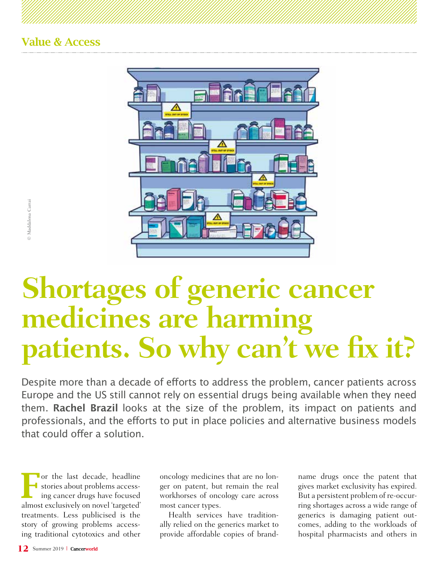

# **Sheafter**<br> **12** Summer 2019<br> **12** Summer 2019<br> **12** Summer 2019<br> **12** Summer 2019 **Shortages of generic cancer medicines are harming patients. So why can't we fix it?**

Despite more than a decade of efforts to address the problem, cancer patients across Europe and the US still cannot rely on essential drugs being available when they need them. **Rachel Brazil** looks at the size of the problem, its impact on patients and professionals, and the efforts to put in place policies and alternative business models that could offer a solution.

For the last decade, headline<br>
ing cancer drugs have focused stories about problems accessalmost exclusively on novel 'targeted' treatments. Less publicised is the story of growing problems accessing traditional cytotoxics and other

oncology medicines that are no longer on patent, but remain the real workhorses of oncology care across most cancer types.

Health services have traditionally relied on the generics market to provide affordable copies of brandname drugs once the patent that gives market exclusivity has expired. But a persistent problem of re-occurring shortages across a wide range of generics is damaging patient outcomes, adding to the workloads of hospital pharmacists and others in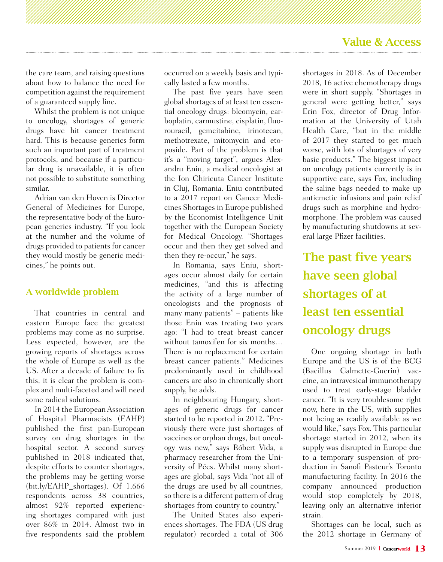the care team, and raising questions about how to balance the need for competition against the requirement of a guaranteed supply line.

Whilst the problem is not unique to oncology, shortages of generic drugs have hit cancer treatment hard. This is because generics form such an important part of treatment protocols, and because if a particular drug is unavailable, it is often not possible to substitute something similar.

Adrian van den Hoven is Director General of Medicines for Europe, the representative body of the European generics industry. "If you look at the number and the volume of drugs provided to patients for cancer they would mostly be generic medicines," he points out.

#### A worldwide problem

That countries in central and eastern Europe face the greatest problems may come as no surprise. Less expected, however, are the growing reports of shortages across the whole of Europe as well as the US. After a decade of failure to fix this, it is clear the problem is complex and multi-faceted and will need some radical solutions.

In 2014 the European Association of Hospital Pharmacists (EAHP) published the first pan-European survey on drug shortages in the hospital sector. A second survey published in 2018 indicated that, despite efforts to counter shortages, the problems may be getting worse (bit.ly/EAHP\_shortages). Of 1,666 respondents across 38 countries, almost 92% reported experiencing shortages compared with just over 86% in 2014. Almost two in five respondents said the problem

occurred on a weekly basis and typically lasted a few months.

The past five years have seen global shortages of at least ten essential oncology drugs: bleomycin, carboplatin, carmustine, cisplatin, fluorouracil, gemcitabine, irinotecan, methotrexate, mitomycin and etoposide. Part of the problem is that it's a "moving target", argues Alexandru Eniu, a medical oncologist at the Ion Chiricuta Cancer Institute in Cluj, Romania. Eniu contributed to a 2017 report on Cancer Medicines Shortages in Europe published by the Economist Intelligence Unit together with the European Society for Medical Oncology. "Shortages occur and then they get solved and then they re-occur," he says.

In Romania, says Eniu, shortages occur almost daily for certain medicines, "and this is affecting the activity of a large number of oncologists and the prognosis of many many patients" – patients like those Eniu was treating two years ago: "I had to treat breast cancer without tamoxifen for six months… There is no replacement for certain breast cancer patients." Medicines predominantly used in childhood cancers are also in chronically short supply, he adds.

In neighbouring Hungary, shortages of generic drugs for cancer started to be reported in 2012. "Previously there were just shortages of vaccines or orphan drugs, but oncology was new," says Róbert Vida, a pharmacy researcher from the University of Pécs. Whilst many shortages are global, says Vida "not all of the drugs are used by all countries, so there is a different pattern of drug shortages from country to country."

The United States also experiences shortages. The FDA (US drug regulator) recorded a total of 306

shortages in 2018. As of December 2018, 16 active chemotherapy drugs were in short supply. "Shortages in general were getting better," says Erin Fox, director of Drug Information at the University of Utah Health Care, "but in the middle of 2017 they started to get much worse, with lots of shortages of very basic products." The biggest impact on oncology patients currently is in supportive care, says Fox, including the saline bags needed to make up antiemetic infusions and pain relief drugs such as morphine and hydromorphone. The problem was caused by manufacturing shutdowns at several large Pfizer facilities.

The past five years have seen global shortages of at least ten essential oncology drugs

One ongoing shortage in both Europe and the US is of the BCG (Bacillus Calmette-Guerin) vaccine, an intravesical immunotherapy used to treat early-stage bladder cancer. "It is very troublesome right now, here in the US, with supplies not being as readily available as we would like," says Fox. This particular shortage started in 2012, when its supply was disrupted in Europe due to a temporary suspension of production in Sanofi Pasteur's Toronto manufacturing facility. In 2016 the company announced production would stop completely by 2018, leaving only an alternative inferior strain.

Shortages can be local, such as the 2012 shortage in Germany of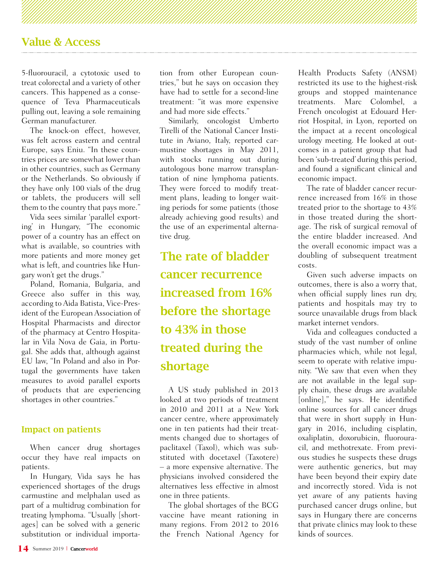5-fluorouracil, a cytotoxic used to treat colorectal and a variety of other cancers. This happened as a consequence of Teva Pharmaceuticals pulling out, leaving a sole remaining German manufacturer.

The knock-on effect, however, was felt across eastern and central Europe, says Eniu. "In these countries prices are somewhat lower than in other countries, such as Germany or the Netherlands. So obviously if they have only 100 vials of the drug or tablets, the producers will sell them to the country that pays more."

Vida sees similar 'parallel exporting' in Hungary, "The economic power of a country has an effect on what is available, so countries with more patients and more money get what is left, and countries like Hungary won't get the drugs."

Poland, Romania, Bulgaria, and Greece also suffer in this way, according to Aida Batista, Vice-President of the European Association of Hospital Pharmacists and director of the pharmacy at Centro Hospitalar in Vila Nova de Gaia, in Portugal. She adds that, although against EU law, "In Poland and also in Portugal the governments have taken measures to avoid parallel exports of products that are experiencing shortages in other countries."

#### Impact on patients

When cancer drug shortages occur they have real impacts on patients.

In Hungary, Vida says he has experienced shortages of the drugs carmustine and melphalan used as part of a multidrug combination for treating lymphoma. "Usually [shortages] can be solved with a generic substitution or individual importation from other European countries," but he says on occasion they have had to settle for a second-line treatment: "it was more expensive and had more side effects."

Similarly, oncologist Umberto Tirelli of the National Cancer Institute in Aviano, Italy, reported carmustine shortages in May 2011, with stocks running out during autologous bone marrow transplantation of nine lymphoma patients. They were forced to modify treatment plans, leading to longer waiting periods for some patients (those already achieving good results) and the use of an experimental alternative drug.

The rate of bladder cancer recurrence increased from 16% before the shortage to 43% in those treated during the shortage

A US study published in 2013 looked at two periods of treatment in 2010 and 2011 at a New York cancer centre, where approximately one in ten patients had their treatments changed due to shortages of paclitaxel (Taxol), which was substituted with docetaxel (Taxotere) – a more expensive alternative. The physicians involved considered the alternatives less effective in almost one in three patients.

The global shortages of the BCG vaccine have meant rationing in many regions. From 2012 to 2016 the French National Agency for

Health Products Safety (ANSM) restricted its use to the highest-risk groups and stopped maintenance treatments. Marc Colombel, a French oncologist at Edouard Herriot Hospital, in Lyon, reported on the impact at a recent oncological urology meeting. He looked at outcomes in a patient group that had been 'sub-treated' during this period, and found a significant clinical and economic impact.

The rate of bladder cancer recurrence increased from 16% in those treated prior to the shortage to 43% in those treated during the shortage. The risk of surgical removal of the entire bladder increased. And the overall economic impact was a doubling of subsequent treatment costs.

Given such adverse impacts on outcomes, there is also a worry that, when official supply lines run dry, patients and hospitals may try to source unavailable drugs from black market internet vendors.

Vida and colleagues conducted a study of the vast number of online pharmacies which, while not legal, seem to operate with relative impunity. "We saw that even when they are not available in the legal supply chain, these drugs are available [online]," he says. He identified online sources for all cancer drugs that were in short supply in Hungary in 2016, including cisplatin, oxaliplatin, doxorubicin, fluorouracil, and methotrexate. From previous studies he suspects these drugs were authentic generics, but may have been beyond their expiry date and incorrectly stored. Vida is not yet aware of any patients having purchased cancer drugs online, but says in Hungary there are concerns that private clinics may look to these kinds of sources.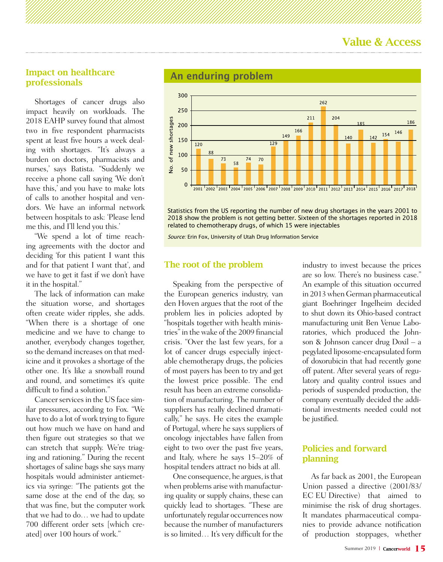#### Impact on healthcare professionals

Shortages of cancer drugs also impact heavily on workloads. The 2018 EAHP survey found that almost two in five respondent pharmacists spent at least five hours a week dealing with shortages. "It's always a burden on doctors, pharmacists and nurses,' says Batista. "Suddenly we receive a phone call saying 'We don't have this,' and you have to make lots of calls to another hospital and vendors. We have an informal network between hospitals to ask: 'Please lend me this, and I'll lend you this.'

"We spend a lot of time reaching agreements with the doctor and deciding 'for this patient I want this and for that patient I want that', and we have to get it fast if we don't have it in the hospital."

The lack of information can make the situation worse, and shortages often create wider ripples, she adds. "When there is a shortage of one medicine and we have to change to another, everybody changes together, so the demand increases on that medicine and it provokes a shortage of the other one. It's like a snowball round and round, and sometimes it's quite difficult to find a solution."

Cancer services in the US face similar pressures, according to Fox. "We have to do a lot of work trying to figure out how much we have on hand and then figure out strategies so that we can stretch that supply. We're triaging and rationing." During the recent shortages of saline bags she says many hospitals would administer antiemetics via syringe: "The patients got the same dose at the end of the day, so that was fine, but the computer work that we had to do… we had to update 700 different order sets [which created] over 100 hours of work."

#### **An enduring problem**



Statistics from the US reporting the number of new drug shortages in the years 2001 to 2018 show the problem is not getting better. Sixteen of the shortages reported in 2018 related to chemotherapy drugs, of which 15 were injectables

Source: Erin Fox, University of Utah Drug Information Service

#### The root of the problem

Speaking from the perspective of the European generics industry, van den Hoven argues that the root of the problem lies in policies adopted by "hospitals together with health ministries" in the wake of the 2009 financial crisis. "Over the last few years, for a lot of cancer drugs especially injectable chemotherapy drugs, the policies of most payers has been to try and get the lowest price possible. The end result has been an extreme consolidation of manufacturing. The number of suppliers has really declined dramatically," he says. He cites the example of Portugal, where he says suppliers of oncology injectables have fallen from eight to two over the past five years, and Italy, where he says 15–20% of hospital tenders attract no bids at all.

One consequence, he argues, is that when problems arise with manufacturing quality or supply chains, these can quickly lead to shortages. "These are unfortunately regular occurrences now because the number of manufacturers is so limited… It's very difficult for the

industry to invest because the prices are so low. There's no business case." An example of this situation occurred in 2013 when German pharmaceutical giant Boehringer Ingelheim decided to shut down its Ohio-based contract manufacturing unit Ben Venue Laboratories, which produced the Johnson & Johnson cancer drug Doxil – a pegylated liposome-encapsulated form of doxorubicin that had recently gone off patent. After several years of regulatory and quality control issues and periods of suspended production, the company eventually decided the additional investments needed could not be justified.

#### Policies and forward planning

As far back as 2001, the European Union passed a directive (2001/83/ EC EU Directive) that aimed to minimise the risk of drug shortages. It mandates pharmaceutical companies to provide advance notification of production stoppages, whether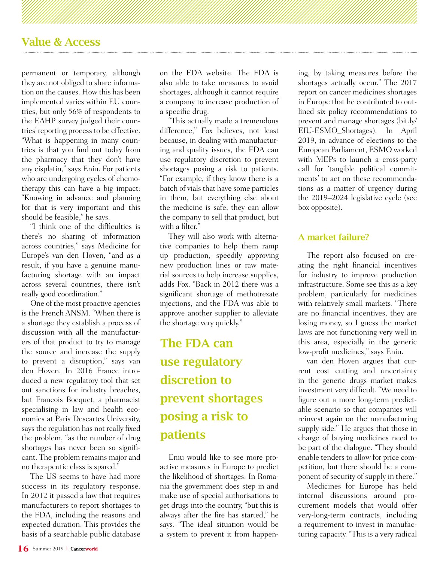permanent or temporary, although they are not obliged to share information on the causes. How this has been implemented varies within EU countries, but only 56% of respondents to the EAHP survey judged their countries' reporting process to be effective. "What is happening in many countries is that you find out today from the pharmacy that they don't have any cisplatin," says Eniu. For patients who are undergoing cycles of chemotherapy this can have a big impact: "Knowing in advance and planning for that is very important and this should be feasible," he says.

"I think one of the difficulties is there's no sharing of information across countries," says Medicine for Europe's van den Hoven, "and as a result, if you have a genuine manufacturing shortage with an impact across several countries, there isn't really good coordination."

One of the most proactive agencies is the French ANSM. "When there is a shortage they establish a process of discussion with all the manufacturers of that product to try to manage the source and increase the supply to prevent a disruption," says van den Hoven. In 2016 France introduced a new regulatory tool that set out sanctions for industry breaches, but Francois Bocquet, a pharmacist specialising in law and health economics at Paris Descartes University, says the regulation has not really fixed the problem, "as the number of drug shortages has never been so significant. The problem remains major and no therapeutic class is spared."

The US seems to have had more success in its regulatory response. In 2012 it passed a law that requires manufacturers to report shortages to the FDA, including the reasons and expected duration. This provides the basis of a searchable public database

on the FDA website. The FDA is also able to take measures to avoid shortages, although it cannot require a company to increase production of a specific drug.

"This actually made a tremendous difference," Fox believes, not least because, in dealing with manufacturing and quality issues, the FDA can use regulatory discretion to prevent shortages posing a risk to patients. "For example, if they know there is a batch of vials that have some particles in them, but everything else about the medicine is safe, they can allow the company to sell that product, but with a filter."

They will also work with alternative companies to help them ramp up production, speedily approving new production lines or raw material sources to help increase supplies, adds Fox. "Back in 2012 there was a significant shortage of methotrexate injections, and the FDA was able to approve another supplier to alleviate the shortage very quickly."

# The FDA can use regulatory discretion to prevent shortages posing a risk to patients

Eniu would like to see more proactive measures in Europe to predict the likelihood of shortages. In Romania the government does step in and make use of special authorisations to get drugs into the country, "but this is always after the fire has started," he says. "The ideal situation would be a system to prevent it from happen-

ing, by taking measures before the shortages actually occur." The 2017 report on cancer medicines shortages in Europe that he contributed to outlined six policy recommendations to prevent and manage shortages (bit.ly/ EIU-ESMO\_Shortages). In April 2019, in advance of elections to the European Parliament, ESMO worked with MEPs to launch a cross-party call for 'tangible political commitments' to act on these recommendations as a matter of urgency during the 2019–2024 legislative cycle (see box opposite).

#### A market failure?

The report also focused on creating the right financial incentives for industry to improve production infrastructure. Some see this as a key problem, particularly for medicines with relatively small markets. "There are no financial incentives, they are losing money, so I guess the market laws are not functioning very well in this area, especially in the generic low-profit medicines," says Eniu.

van den Hoven argues that current cost cutting and uncertainty in the generic drugs market makes investment very difficult. "We need to figure out a more long-term predictable scenario so that companies will reinvest again on the manufacturing supply side." He argues that those in charge of buying medicines need to be part of the dialogue. "They should enable tenders to allow for price competition, but there should be a component of security of supply in there."

Medicines for Europe has held internal discussions around procurement models that would offer very-long-term contracts, including a requirement to invest in manufacturing capacity. "This is a very radical